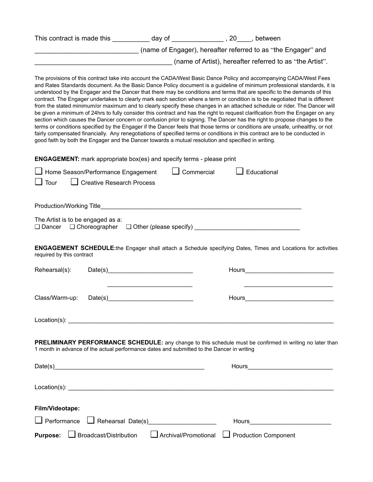| This contract is made this | dav of | between                                                       |
|----------------------------|--------|---------------------------------------------------------------|
|                            |        | (name of Engager), hereafter referred to as "the Engager" and |
|                            |        | (name of Artist), hereafter referred to as "the Artist".      |

The provisions of this contract take into account the CADA/West Basic Dance Policy and accompanying CADA/West Fees and Rates Standards document. As the Basic Dance Policy document is a guideline of minimum professional standards, it is understood by the Engager and the Dancer that there may be conditions and terms that are specific to the demands of this contract. The Engager undertakes to clearly mark each section where a term or condition is to be negotiated that is different from the stated minimum/or maximum and to clearly specify these changes in an attached schedule or rider. The Dancer will be given a minimum of 24hrs to fully consider this contract and has the right to request clarification from the Engager on any section which causes the Dancer concern or confusion prior to signing. The Dancer has the right to propose changes to the terms or conditions specified by the Engager if the Dancer feels that those terms or conditions are unsafe, unhealthy, or not fairly compensated financially. Any renegotiations of specified terms or conditions in this contract are to be conducted in good faith by both the Engager and the Dancer towards a mutual resolution and specified in writing.

**ENGAGEMENT:** mark appropriate box(es) and specify terms - please print

| Educational<br>Commercial<br>Home Season/Performance Engagement                                                                                                                                                                                                                                                                                                                             |
|---------------------------------------------------------------------------------------------------------------------------------------------------------------------------------------------------------------------------------------------------------------------------------------------------------------------------------------------------------------------------------------------|
| $\Box$ Creative Research Process<br>$\Box$ Tour                                                                                                                                                                                                                                                                                                                                             |
|                                                                                                                                                                                                                                                                                                                                                                                             |
| The Artist is to be engaged as a:<br>□ Dancer □ Choreographer □ Other (please specify) _____________________________                                                                                                                                                                                                                                                                        |
| <b>ENGAGEMENT SCHEDULE:</b> the Engager shall attach a Schedule specifying Dates, Times and Locations for activities<br>required by this contract                                                                                                                                                                                                                                           |
| Rehearsal(s):<br>Date(s) $\qquad \qquad$ $\qquad \qquad$ $\qquad$ $\qquad \qquad$ $\qquad \qquad$ $\qquad \qquad$ $\qquad \qquad$ $\qquad \qquad$ $\qquad \qquad$ $\qquad \qquad$ $\qquad \qquad$ $\qquad \qquad$ $\qquad \qquad$ $\qquad \qquad$ $\qquad$ $\qquad \qquad$ $\qquad$ $\qquad$ $\qquad$ $\qquad$ $\qquad$ $\qquad$ $\qquad$ $\qquad$ $\qquad$ $\qquad$ $\qquad$ $\qquad$ $\q$ |
| the control of the control of the control of the control of the control of<br>Class/Warm-up:                                                                                                                                                                                                                                                                                                |
|                                                                                                                                                                                                                                                                                                                                                                                             |
| PRELIMINARY PERFORMANCE SCHEDULE: any change to this schedule must be confirmed in writing no later than<br>1 month in advance of the actual performance dates and submitted to the Dancer in writing                                                                                                                                                                                       |
|                                                                                                                                                                                                                                                                                                                                                                                             |
|                                                                                                                                                                                                                                                                                                                                                                                             |
| Film/Videotape:                                                                                                                                                                                                                                                                                                                                                                             |
| $\Box$ Performance<br>Rehearsal Date(s)                                                                                                                                                                                                                                                                                                                                                     |
| $\Box$ Broadcast/Distribution<br><b>Purpose:</b><br>Archival/Promotional<br><b>Production Component</b>                                                                                                                                                                                                                                                                                     |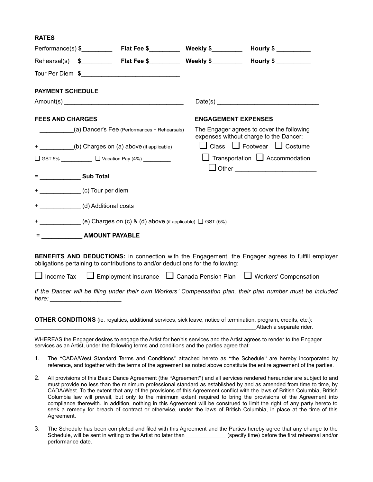| <b>RATES</b>                       |                                                                                 |                                                                                                                                                                                                                                                                                                                       |
|------------------------------------|---------------------------------------------------------------------------------|-----------------------------------------------------------------------------------------------------------------------------------------------------------------------------------------------------------------------------------------------------------------------------------------------------------------------|
|                                    |                                                                                 | Hourly $\frac{1}{2}$ $\frac{1}{2}$ $\frac{1}{2}$ $\frac{1}{2}$ $\frac{1}{2}$ $\frac{1}{2}$ $\frac{1}{2}$ $\frac{1}{2}$ $\frac{1}{2}$ $\frac{1}{2}$ $\frac{1}{2}$ $\frac{1}{2}$ $\frac{1}{2}$ $\frac{1}{2}$ $\frac{1}{2}$ $\frac{1}{2}$ $\frac{1}{2}$ $\frac{1}{2}$ $\frac{1}{2}$ $\frac{1}{2}$ $\frac{1}{2}$ $\frac{$ |
|                                    |                                                                                 | Rehearsal(s) \$____________ Flat Fee \$___________ Weekly \$__________ Hourly \$__________                                                                                                                                                                                                                            |
|                                    |                                                                                 |                                                                                                                                                                                                                                                                                                                       |
| <b>PAYMENT SCHEDULE</b>            |                                                                                 |                                                                                                                                                                                                                                                                                                                       |
|                                    |                                                                                 | Date(s)                                                                                                                                                                                                                                                                                                               |
| <b>FEES AND CHARGES</b>            |                                                                                 | <b>ENGAGEMENT EXPENSES</b>                                                                                                                                                                                                                                                                                            |
|                                    | (a) Dancer's Fee (Performances + Rehearsals)                                    | The Engager agrees to cover the following<br>expenses without charge to the Dancer:                                                                                                                                                                                                                                   |
|                                    | + ___________(b) Charges on (a) above (if applicable)                           | $\Box$ Class $\Box$ Footwear $\Box$ Costume                                                                                                                                                                                                                                                                           |
|                                    | □ GST 5% __________ □ Vacation Pay (4%) ________                                | $\Box$ Transportation $\Box$ Accommodation                                                                                                                                                                                                                                                                            |
| $=$ Sub Total                      |                                                                                 |                                                                                                                                                                                                                                                                                                                       |
|                                    |                                                                                 |                                                                                                                                                                                                                                                                                                                       |
|                                    |                                                                                 |                                                                                                                                                                                                                                                                                                                       |
| + (d) Additional costs             |                                                                                 |                                                                                                                                                                                                                                                                                                                       |
|                                    | + ________________(e) Charges on (c) & (d) above (if applicable) □ GST (5%)     |                                                                                                                                                                                                                                                                                                                       |
| = _________________ AMOUNT PAYABLE |                                                                                 |                                                                                                                                                                                                                                                                                                                       |
|                                    | obligations pertaining to contributions to and/or deductions for the following: | <b>BENEFITS AND DEDUCTIONS:</b> in connection with the Engagement, the Engager agrees to fulfill employer                                                                                                                                                                                                             |
|                                    |                                                                                 | □ Income Tax □ Employment Insurance □ Canada Pension Plan □ Workers' Compensation                                                                                                                                                                                                                                     |
|                                    |                                                                                 | If the Dancer will be filing under their own Workers' Compensation plan, their plan number must be included                                                                                                                                                                                                           |
|                                    |                                                                                 |                                                                                                                                                                                                                                                                                                                       |

**OTHER CONDITIONS** (ie. royalties, additional services, sick leave, notice of termination, program, credits, etc.): Attach a separate rider.

WHEREAS the Engager desires to engage the Artist for her/his services and the Artist agrees to render to the Engager services as an Artist, under the following terms and conditions and the parties agree that:

- 1. The "CADA/West Standard Terms and Conditions" attached hereto as "the Schedule" are hereby incorporated by reference, and together with the terms of the agreement as noted above constitute the entire agreement of the parties.
- 2. All provisions of this Basic Dance Agreement (the "Agreement") and all services rendered hereunder are subject to and must provide no less than the minimum professional standard as established by and as amended from time to time, by CADA/West. To the extent that any of the provisions of this Agreement conflict with the laws of British Columbia, British Columbia law will prevail, but only to the minimum extent required to bring the provisions of the Agreement into compliance therewith. In addition, nothing in this Agreement will be construed to limit the right of any party hereto to seek a remedy for breach of contract or otherwise, under the laws of British Columbia, in place at the time of this Agreement.
- 3. The Schedule has been completed and filed with this Agreement and the Parties hereby agree that any change to the Schedule, will be sent in writing to the Artist no later than \_\_\_\_\_\_\_\_\_\_\_\_\_\_(specify time) before the first rehearsal and/or performance date.